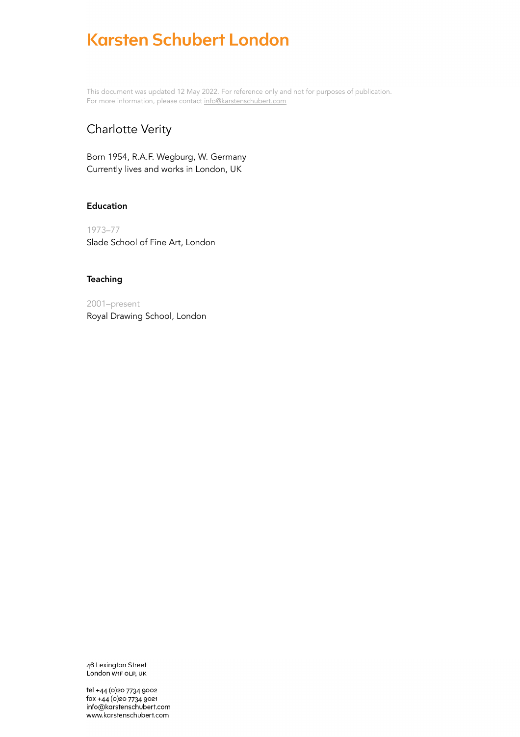This document was updated 12 May 2022. For reference only and not for purposes of publication. For more information, please contact [info@karstenschubert.com](mailto:info@karstenschubert.com)

## Charlotte Verity

Born 1954, R.A.F. Wegburg, W. Germany Currently lives and works in London, UK

## Education

1973–77 Slade School of Fine Art, London

## **Teaching**

2001–present Royal Drawing School, London

46 Lexington Street London W1F OLP, UK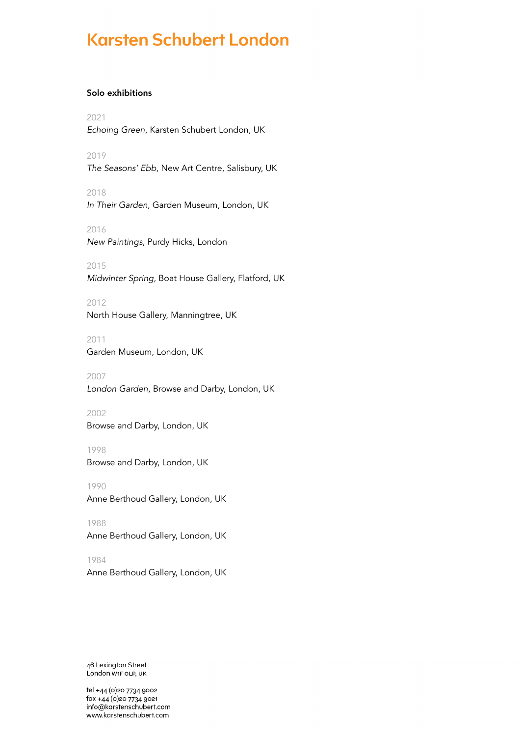## Solo exhibitions

2021 *Echoing Green*, Karsten Schubert London, UK

2019 *The Seasons' Ebb*, New Art Centre, Salisbury, UK

2018 *In Their Garden*, Garden Museum, London, UK

2016 *New Paintings*, Purdy Hicks, London

2015 *Midwinter Spring*, Boat House Gallery, Flatford, UK

2012 North House Gallery, Manningtree, UK

2011 Garden Museum, London, UK

2007 *London Garden*, Browse and Darby, London, UK

2002 Browse and Darby, London, UK

1998 Browse and Darby, London, UK

1990 Anne Berthoud Gallery, London, UK

1988 Anne Berthoud Gallery, London, UK

1984 Anne Berthoud Gallery, London, UK

46 Lexington Street London W1F OLP, UK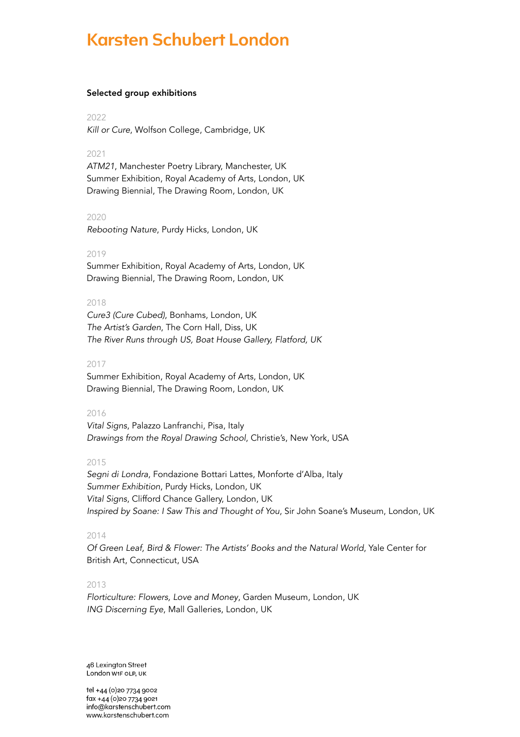### Selected group exhibitions

2022 *Kill or Cure*, Wolfson College, Cambridge, UK

## 2021

*ATM21*, Manchester Poetry Library, Manchester, UK Summer Exhibition, Royal Academy of Arts, London, UK Drawing Biennial, The Drawing Room, London, UK

#### 2020

*Rebooting Nature*, Purdy Hicks, London, UK

#### 2019

Summer Exhibition, Royal Academy of Arts, London, UK Drawing Biennial, The Drawing Room, London, UK

## 2018

*Cure3 (Cure Cubed)*, Bonhams, London, UK *The Artist's Garden*, The Corn Hall, Diss, UK *The River Runs through US, Boat House Gallery, Flatford, UK*

### 2017

Summer Exhibition, Royal Academy of Arts, London, UK Drawing Biennial, The Drawing Room, London, UK

## 2016

*Vital Signs*, Palazzo Lanfranchi, Pisa, Italy *Drawings from the Royal Drawing School*, Christie's, New York, USA

## 2015

*Segni di Londra*, Fondazione Bottari Lattes, Monforte d'Alba, Italy *Summer Exhibition*, Purdy Hicks, London, UK *Vital Signs*, Clifford Chance Gallery, London, UK *Inspired by Soane: I Saw This and Thought of You*, Sir John Soane's Museum, London, UK

## 2014

*Of Green Leaf, Bird & Flower: The Artists' Books and the Natural World*, Yale Center for British Art, Connecticut, USA

#### 2013

*Florticulture: Flowers, Love and Money*, Garden Museum, London, UK *ING Discerning Eye*, Mall Galleries, London, UK

46 Lexington Street London W1F OLP, UK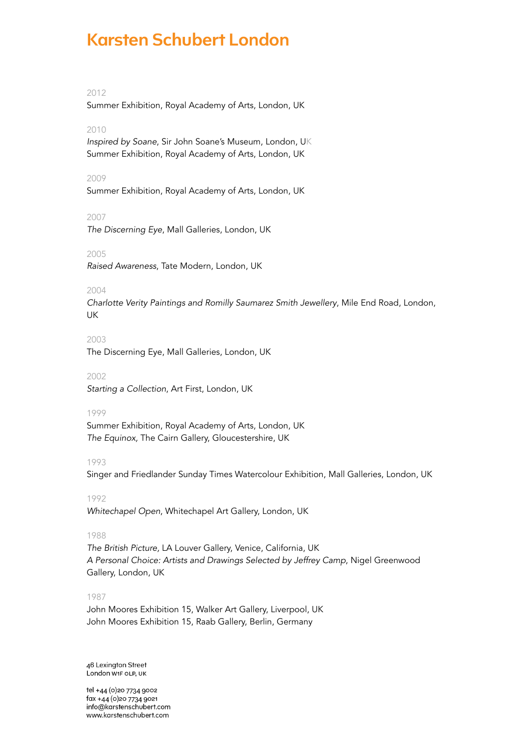## 2012

Summer Exhibition, Royal Academy of Arts, London, UK

#### 2010

*Inspired by Soane*, Sir John Soane's Museum, London, UK Summer Exhibition, Royal Academy of Arts, London, UK

#### 2009

Summer Exhibition, Royal Academy of Arts, London, UK

#### 2007

*The Discerning Eye*, Mall Galleries, London, UK

#### 2005

*Raised Awareness*, Tate Modern, London, UK

#### 2004

*Charlotte Verity Paintings and Romilly Saumarez Smith Jewellery*, Mile End Road, London, UK

#### 2003

The Discerning Eye, Mall Galleries, London, UK

#### 2002

*Starting a Collection*, Art First, London, UK

#### 1999

Summer Exhibition, Royal Academy of Arts, London, UK *The Equinox,* The Cairn Gallery, Gloucestershire, UK

#### 1993

Singer and Friedlander Sunday Times Watercolour Exhibition, Mall Galleries, London, UK

#### 1992

*Whitechapel Open*, Whitechapel Art Gallery, London, UK

#### 1988

*The British Picture,* LA Louver Gallery, Venice, California, UK *A Personal Choice: Artists and Drawings Selected by Jeffrey Camp*, Nigel Greenwood Gallery, London, UK

#### 1987

John Moores Exhibition 15, Walker Art Gallery, Liverpool, UK John Moores Exhibition 15, Raab Gallery, Berlin, Germany

46 Lexington Street London W1F OLP, UK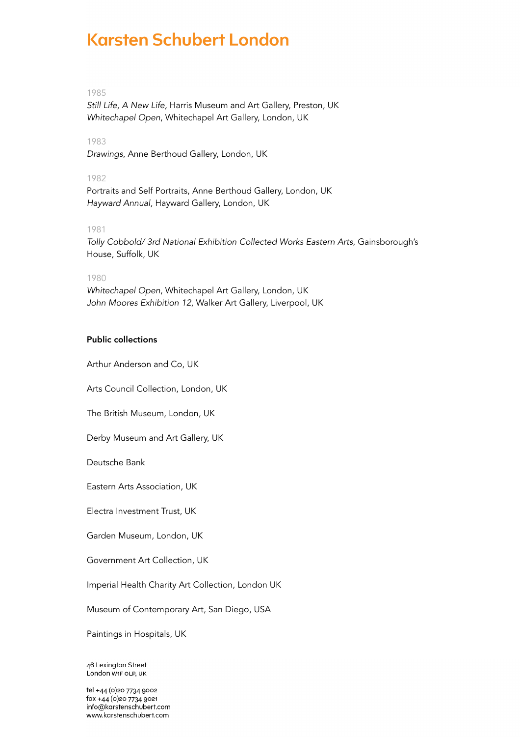## 1985

*Still Life, A New Life,* Harris Museum and Art Gallery, Preston, UK *Whitechapel Open*, Whitechapel Art Gallery, London, UK

## 1983

*Drawings*, Anne Berthoud Gallery, London, UK

### 1982

Portraits and Self Portraits, Anne Berthoud Gallery, London, UK *Hayward Annual,* Hayward Gallery, London, UK

### 1981

*Tolly Cobbold/ 3rd National Exhibition Collected Works Eastern Arts*, Gainsborough's House, Suffolk, UK

#### 1980

*Whitechapel Open*, Whitechapel Art Gallery, London, UK *John Moores Exhibition 12*, Walker Art Gallery, Liverpool, UK

## Public collections

Arthur Anderson and Co, UK

Arts Council Collection, London, UK

The British Museum, London, UK

Derby Museum and Art Gallery, UK

Deutsche Bank

Eastern Arts Association, UK

Electra Investment Trust, UK

Garden Museum, London, UK

Government Art Collection, UK

Imperial Health Charity Art Collection, London UK

Museum of Contemporary Art, San Diego, USA

Paintings in Hospitals, UK

46 Lexington Street London W1F OLP, UK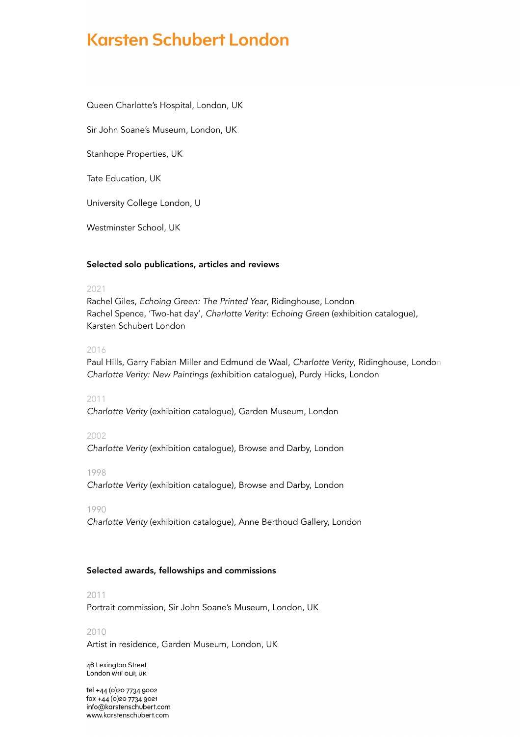Queen Charlotte's Hospital, London, UK

Sir John Soane's Museum, London, UK

Stanhope Properties, UK

Tate Education, UK

University College London, U

Westminster School, UK

#### Selected solo publications, articles and reviews

#### 2021

Rachel Giles, *Echoing Green: The Printed Year*, Ridinghouse, London Rachel Spence, 'Two-hat day', *Charlotte Verity: Echoing Green* (exhibition catalogue), Karsten Schubert London

## 2016

Paul Hills, Garry Fabian Miller and Edmund de Waal, *Charlotte Verity*, Ridinghouse, London *Charlotte Verity: New Paintings (*exhibition catalogue), Purdy Hicks, London

### 2011

*Charlotte Verity* (exhibition catalogue), Garden Museum, London

## 2002

*Charlotte Verity* (exhibition catalogue), Browse and Darby, London

#### 1998

*Charlotte Verity* (exhibition catalogue), Browse and Darby, London

#### 1990

*Charlotte Verity* (exhibition catalogue), Anne Berthoud Gallery, London

#### Selected awards, fellowships and commissions

#### 2011

Portrait commission, Sir John Soane's Museum, London, UK

#### 2010

Artist in residence, Garden Museum, London, UK

46 Lexington Street London W1F OLP, UK